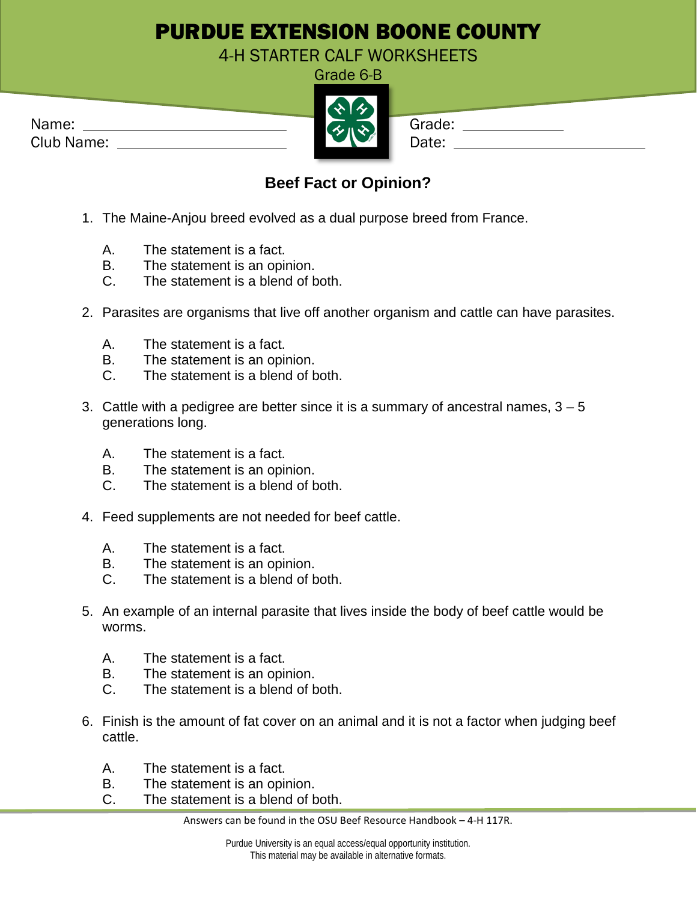## PURDUE EXTENSION BOONE COUNTY

4-H STARTER CALF WORKSHEETS

| Name:      | Grade: |
|------------|--------|
| Club Name: |        |



| ade:    |  |
|---------|--|
| t۵.<br> |  |

## **Beef Fact or Opinion?**

- 1. The Maine-Anjou breed evolved as a dual purpose breed from France.
	- A. The statement is a fact.
	- B. The statement is an opinion.
	- C. The statement is a blend of both.
- 2. Parasites are organisms that live off another organism and cattle can have parasites.
	- A. The statement is a fact.
	- B. The statement is an opinion.
	- C. The statement is a blend of both.
- 3. Cattle with a pedigree are better since it is a summary of ancestral names,  $3 5$ generations long.
	- A. The statement is a fact.
	- B. The statement is an opinion.
	- C. The statement is a blend of both.
- 4. Feed supplements are not needed for beef cattle.
	- A. The statement is a fact.
	- B. The statement is an opinion.
	- C. The statement is a blend of both.
- 5. An example of an internal parasite that lives inside the body of beef cattle would be worms.
	- A. The statement is a fact.
	- B. The statement is an opinion.
	- C. The statement is a blend of both.
- 6. Finish is the amount of fat cover on an animal and it is not a factor when judging beef cattle.
	- A. The statement is a fact.
	- B. The statement is an opinion.
	- C. The statement is a blend of both.

Answers can be found in the OSU Beef Resource Handbook – 4-H 117R.